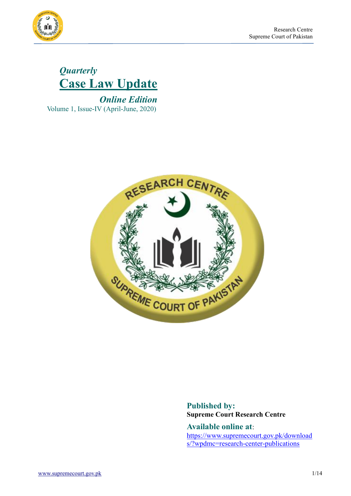



 *Online Edition* Volume 1, Issue-IV (April-June, 2020)



**Published by: Supreme Court Research Centre**

**Available online at**: [https://www.supremecourt.gov.pk/download](https://www.supremecourt.gov.pk/downloads/?wpdmc=research-center-publications) [s/?wpdmc=research-center-publications](https://www.supremecourt.gov.pk/downloads/?wpdmc=research-center-publications)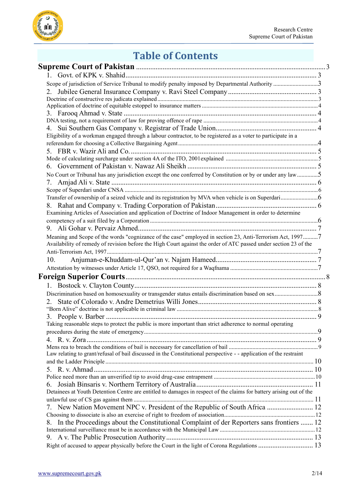

# **Table of Contents**

| Scope of jurisdiction of Service Tribunal to modify penalty imposed by Departmental Authority 3                     |  |
|---------------------------------------------------------------------------------------------------------------------|--|
|                                                                                                                     |  |
|                                                                                                                     |  |
|                                                                                                                     |  |
|                                                                                                                     |  |
|                                                                                                                     |  |
|                                                                                                                     |  |
| Eligibility of a workman engaged through a labour contractor, to be registered as a voter to participate in a       |  |
|                                                                                                                     |  |
|                                                                                                                     |  |
|                                                                                                                     |  |
|                                                                                                                     |  |
| No Court or Tribunal has any jurisdiction except the one conferred by Constitution or by or under any law5          |  |
| 7.                                                                                                                  |  |
|                                                                                                                     |  |
|                                                                                                                     |  |
|                                                                                                                     |  |
| Examining Articles of Association and application of Doctrine of Indoor Management in order to determine            |  |
|                                                                                                                     |  |
|                                                                                                                     |  |
| Meaning and Scope of the words "cognizance of the case" employed in section 23, Anti-Terrorism Act, 19977           |  |
| Availability of remedy of revision before the High Court against the order of ATC passed under section 23 of the    |  |
|                                                                                                                     |  |
| 10.                                                                                                                 |  |
|                                                                                                                     |  |
|                                                                                                                     |  |
|                                                                                                                     |  |
|                                                                                                                     |  |
|                                                                                                                     |  |
|                                                                                                                     |  |
| 3.                                                                                                                  |  |
| Taking reasonable steps to protect the public is more important than strict adherence to normal operating           |  |
|                                                                                                                     |  |
|                                                                                                                     |  |
|                                                                                                                     |  |
| Law relating to grant/refusal of bail discussed in the Constitutional perspective - - application of the restraint  |  |
|                                                                                                                     |  |
|                                                                                                                     |  |
|                                                                                                                     |  |
| 6.                                                                                                                  |  |
| Detainees at Youth Detention Centre are entitled to damages in respect of the claims for battery arising out of the |  |
|                                                                                                                     |  |
| 7. New Nation Movement NPC v. President of the Republic of South Africa  12                                         |  |
|                                                                                                                     |  |
| In the Proceedings about the Constitutional Complaint of der Reporters sans frontiers  12<br>8.                     |  |
|                                                                                                                     |  |
| Right of accused to appear physically before the Court in the light of Corona Regulations  13                       |  |
|                                                                                                                     |  |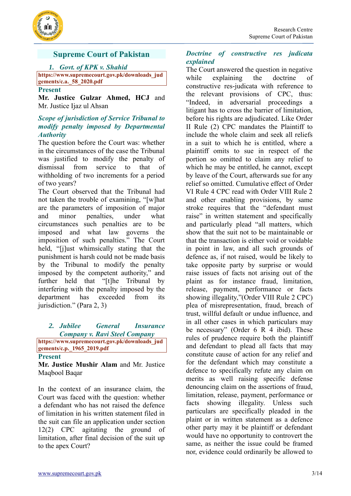



# <span id="page-2-0"></span>**Supreme Court of Pakistan**

#### *1. Govt. of KPK v. Shahid*

<span id="page-2-1"></span>**[https://www.supremecourt.gov.pk/downloads\\_jud](https://www.supremecourt.gov.pk/downloads_judgements/c.a._58_2020.pdf) [gements/c.a.\\_58\\_2020.pdf](https://www.supremecourt.gov.pk/downloads_judgements/c.a._58_2020.pdf)**

#### **Present**

**Mr. Justice Gulzar Ahmed, HCJ** and Mr. Justice Ijaz ul Ahsan

#### <span id="page-2-2"></span>*Scope of jurisdiction of Service Tribunal to modify penalty imposed by Departmental Authority*

The question before the Court was: whether in the circumstances of the case the Tribunal was justified to modify the penalty of dismissal from service to that of withholding of two increments for a period of two years?

The Court observed that the Tribunal had not taken the trouble of examining, "[w]hat are the parameters of imposition of major and minor penalties, under what circumstances such penalties are to be imposed and what law governs the imposition of such penalties." The Court held, "[j]ust whimsically stating that the punishment is harsh could not be made basis by the Tribunal to modify the penalty imposed by the competent authority," and further held that "[t]he Tribunal by interfering with the penalty imposed by the department has exceeded from its jurisdiction." (Para 2, 3)

# <span id="page-2-3"></span>*2. Jubilee General Insurance Company v. Ravi Steel Company*

**[https://www.supremecourt.gov.pk/downloads\\_jud](https://www.supremecourt.gov.pk/downloads_judgements/c.p._1965_2019.pdf) [gements/c.p.\\_1965\\_2019.pdf](https://www.supremecourt.gov.pk/downloads_judgements/c.p._1965_2019.pdf)**

#### **Present**

**Mr. Justice Mushir Alam** and Mr. Justice Maqbool Baqar

In the context of an insurance claim, the Court was faced with the question: whether a defendant who has not raised the defence of limitation in his written statement filed in the suit can file an application under section 12(2) CPC agitating the ground of limitation, after final decision of the suit up to the apex Court?

## <span id="page-2-4"></span>*Doctrine of constructive res judicata explained*

The Court answered the question in negative while explaining the doctrine of constructive res-judicata with reference to the relevant provisions of CPC, thus: "Indeed, in adversarial proceedings a litigant has to cross the barrier of limitation, before his rights are adjudicated. Like Order II Rule (2) CPC mandates the Plaintiff to include the whole claim and seek all reliefs in a suit to which he is entitled, where a plaintiff omits to sue in respect of the portion so omitted to claim any relief to which he may be entitled, he cannot, except by leave of the Court, afterwards sue for any relief so omitted. Cumulative effect of Order VI Rule 4 CPC read with Order VIII Rule 2 and other enabling provisions, by same stroke requires that the "defendant must raise" in written statement and specifically and particularly plead "all matters, which show that the suit not to be maintainable or that the transaction is either void or voidable in point in law, and all such grounds of defence as, if not raised, would be likely to take opposite party by surprise or would raise issues of facts not arising out of the plaint as for instance fraud, limitation, release, payment, performance or facts showing illegality,"(Order VIII Rule 2 CPC) plea of misrepresentation, fraud, breach of trust, willful default or undue influence, and in all other cases in which particulars may be necessary" (Order 6 R 4 ibid). These rules of prudence require both the plaintiff and defendant to plead all facts that may constitute cause of action for any relief and for the defendant which may constitute a defence to specifically refute any claim on merits as well raising specific defense denouncing claim on the assertions of fraud, limitation, release, payment, performance or facts showing illegality. Unless such particulars are specifically pleaded in the plaint or in written statement as a defence other party may it be plaintiff or defendant would have no opportunity to controvert the same, as neither the issue could be framed nor, evidence could ordinarily be allowed to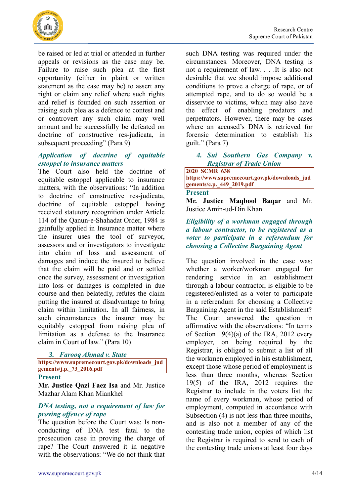

be raised or led at trial or attended in further appeals or revisions as the case may be. Failure to raise such plea at the first opportunity (either in plaint or written statement as the case may be) to assert any right or claim any relief where such rights and relief is founded on such assertion or raising such plea as a defence to contest and or controvert any such claim may well amount and be successfully be defeated on doctrine of constructive res-judicata, in subsequent proceeding" (Para 9)

# <span id="page-3-0"></span>*Application of doctrine of equitable estoppel to insurance matters*

The Court also held the doctrine of equitable estoppel applicable to insurance matters, with the observations: "In addition to doctrine of constructive res-judicata, doctrine of equitable estoppel having received statutory recognition under Article 114 of the Qanun-e-Shahadat Order, 1984 is gainfully applied in Insurance matter where the insurer uses the tool of surveyor, assessors and or investigators to investigate into claim of loss and assessment of damages and induce the insured to believe that the claim will be paid and or settled once the survey, assessment or investigation into loss or damages is completed in due course and then belatedly, refutes the claim putting the insured at disadvantage to bring claim within limitation. In all fairness, in such circumstances the insurer may be equitably estopped from raising plea of limitation as a defense to the Insurance claim in Court of law." (Para 10)

#### <span id="page-3-1"></span>*3. Farooq Ahmad v. State*

**[https://www.supremecourt.gov.pk/downloads\\_jud](https://www.supremecourt.gov.pk/downloads_judgements/j.p._73_2016.pdf) [gements/j.p.\\_73\\_2016.pdf](https://www.supremecourt.gov.pk/downloads_judgements/j.p._73_2016.pdf)**

#### **Present**

**Mr. Justice Qazi Faez Isa** and Mr. Justice Mazhar Alam Khan Miankhel

## <span id="page-3-2"></span>*DNA testing, not a requirement of law for proving offence of rape*

The question before the Court was: Is nonconducting of DNA test fatal to the prosecution case in proving the charge of rape? The Court answered it in negative with the observations: "We do not think that

such DNA testing was required under the circumstances. Moreover, DNA testing is not a requirement of law. . . .It is also not desirable that we should impose additional conditions to prove a charge of rape, or of attempted rape, and to do so would be a disservice to victims, which may also have the effect of enabling predators and perpetrators. However, there may be cases where an accused's DNA is retrieved for forensic determination to establish his guilt." (Para 7)

## <span id="page-3-3"></span>*4. Sui Southern Gas Company v. Registrar of Trade Union*

#### **2020 SCMR 638 [https://www.supremecourt.gov.pk/downloads\\_jud](https://www.supremecourt.gov.pk/downloads_judgements/c.p._449_2019.pdf) [gements/c.p.\\_449\\_2019.pdf](https://www.supremecourt.gov.pk/downloads_judgements/c.p._449_2019.pdf)**

#### **Present**

**Mr. Justice Maqbool Baqar** and Mr. Justice Amin-ud-Din Khan

## <span id="page-3-4"></span>*Eligibility of a workman engaged through a labour contractor, to be registered as a voter to participate in a referendum for choosing a Collective Bargaining Agent*

The question involved in the case was: whether a worker/workman engaged for rendering service in an establishment through a labour contractor, is eligible to be registered/enlisted as a voter to participate in a referendum for choosing a Collective Bargaining Agent in the said Establishment? The Court answered the question in affirmative with the observations: "In terms of Section 19(4)(a) of the IRA, 2012 every employer, on being required by the Registrar, is obliged to submit a list of all the workmen employed in his establishment, except those whose period of employment is less than three months, whereas Section 19(5) of the IRA, 2012 requires the Registrar to include in the voters list the name of every workman, whose period of employment, computed in accordance with Subsection (4) is not less than three months, and is also not a member of any of the contesting trade union, copies of which list the Registrar is required to send to each of the contesting trade unions at least four days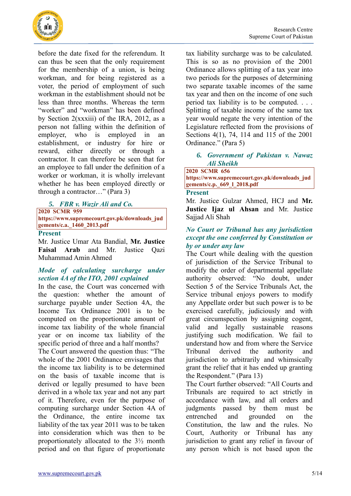

before the date fixed for the referendum. It can thus be seen that the only requirement for the membership of a union, is being workman, and for being registered as a voter, the period of employment of such workman in the establishment should not be less than three months. Whereas the term "worker" and "workman" has been defined by Section 2(xxxiii) of the IRA, 2012, as a person not falling within the definition of employer, who is employed in an establishment, or industry for hire or reward, either directly or through a contractor. It can therefore be seen that for an employee to fall under the definition of a worker or workman, it is wholly irrelevant whether he has been employed directly or through a contractor…" (Para 3)

## <span id="page-4-0"></span>*5. FBR v. Wazir Ali and Co.*

**2020 SCMR 959**

**[https://www.supremecourt.gov.pk/downloads\\_jud](https://www.supremecourt.gov.pk/downloads_judgements/c.a._1460_2013.pdf) [gements/c.a.\\_1460\\_2013.pdf](https://www.supremecourt.gov.pk/downloads_judgements/c.a._1460_2013.pdf)**

#### **Present**

Mr. Justice Umar Ata Bandial, **Mr. Justice Faisal Arab** and Mr. Justice Qazi Muhammad Amin Ahmed

# <span id="page-4-1"></span>*Mode of calculating surcharge under section 4A of the ITO, 2001 explained*

In the case, the Court was concerned with the question: whether the amount of surcharge payable under Section 4A, the Income Tax Ordinance 2001 is to be computed on the proportionate amount of income tax liability of the whole financial year or on income tax liability of the specific period of three and a half months?

The Court answered the question thus: "The whole of the 2001 Ordinance envisages that the income tax liability is to be determined on the basis of taxable income that is derived or legally presumed to have been derived in a whole tax year and not any part of it. Therefore, even for the purpose of computing surcharge under Section 4A of the Ordinance, the entire income tax liability of the tax year 2011 was to be taken into consideration which was then to be proportionately allocated to the 3½ month period and on that figure of proportionate

tax liability surcharge was to be calculated. This is so as no provision of the 2001 Ordinance allows splitting of a tax year into two periods for the purposes of determining two separate taxable incomes of the same tax year and then on the income of one such period tax liability is to be computed. . . . Splitting of taxable income of the same tax year would negate the very intention of the Legislature reflected from the provisions of Sections 4(1), 74, 114 and 115 of the 2001 Ordinance." (Para 5)

#### <span id="page-4-2"></span>*6. Government of Pakistan v. Nawaz Ali Sheikh*

#### **2020 SCMR 656 [https://www.supremecourt.gov.pk/downloads\\_jud](https://www.supremecourt.gov.pk/downloads_judgements/c.p._669_l_2018.pdf) [gements/c.p.\\_669\\_l\\_2018.pdf](https://www.supremecourt.gov.pk/downloads_judgements/c.p._669_l_2018.pdf)**

#### **Present**

Mr. Justice Gulzar Ahmed, HCJ and **Mr. Justice Ijaz ul Ahsan** and Mr. Justice Sajjad Ali Shah

#### <span id="page-4-3"></span>*No Court or Tribunal has any jurisdiction except the one conferred by Constitution or by or under any law*

The Court while dealing with the question of jurisdiction of the Service Tribunal to modify the order of departmental appellate authority observed: "No doubt, under Section 5 of the Service Tribunals Act, the Service tribunal enjoys powers to modify any Appellate order but such power is to be exercised carefully, judiciously and with great circumspection by assigning cogent, valid and legally sustainable reasons justifying such modification. We fail to understand how and from where the Service Tribunal derived the authority and jurisdiction to arbitrarily and whimsically grant the relief that it has ended up granting the Respondent." (Para 13)

The Court further observed: "All Courts and Tribunals are required to act strictly in accordance with law, and all orders and judgments passed by them must be entrenched and grounded on the Constitution, the law and the rules. No Court, Authority or Tribunal has any jurisdiction to grant any relief in favour of any person which is not based upon the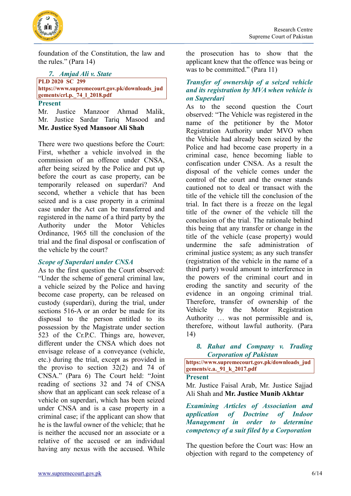

foundation of the Constitution, the law and the rules." (Para 14)

<span id="page-5-0"></span>*7. Amjad Ali v. State* **PLD 2020 SC 299 [https://www.supremecourt.gov.pk/downloads\\_jud](https://www.supremecourt.gov.pk/downloads_judgements/crl.p._74_l_2018.pdf) [gements/crl.p.\\_74\\_l\\_2018.pdf](https://www.supremecourt.gov.pk/downloads_judgements/crl.p._74_l_2018.pdf) Present**

Mr. Justice Manzoor Ahmad Malik, Mr. Justice Sardar Tariq Masood and **Mr. Justice Syed Mansoor Ali Shah**

There were two questions before the Court: First, whether a vehicle involved in the commission of an offence under CNSA, after being seized by the Police and put up before the court as case property, can be temporarily released on superdari? And second, whether a vehicle that has been seized and is a case property in a criminal case under the Act can be transferred and registered in the name of a third party by the Authority under the Motor Vehicles Ordinance, 1965 till the conclusion of the trial and the final disposal or confiscation of the vehicle by the court?

# <span id="page-5-1"></span>*Scope of Superdari under CNSA*

As to the first question the Court observed: "Under the scheme of general criminal law, a vehicle seized by the Police and having become case property, can be released on custody (superdari), during the trial, under sections 516-A or an order be made for its disposal to the person entitled to its possession by the Magistrate under section 523 of the Cr.P.C. Things are, however, different under the CNSA which does not envisage release of a conveyance (vehicle, etc.) during the trial, except as provided in the proviso to section 32(2) and 74 of CNSA." (Para 6) The Court held: "Joint reading of sections 32 and 74 of CNSA show that an applicant can seek release of a vehicle on superdari, which has been seized under CNSA and is a case property in a criminal case; if the applicant can show that he is the lawful owner of the vehicle; that he is neither the accused nor an associate or a relative of the accused or an individual having any nexus with the accused. While the prosecution has to show that the applicant knew that the offence was being or was to be committed." (Para 11)

## <span id="page-5-2"></span>*Transfer of ownership of a seized vehicle and its registration by MVA when vehicle is on Superdari*

As to the second question the Court observed: "The Vehicle was registered in the name of the petitioner by the Motor Registration Authority under MVO when the Vehicle had already been seized by the Police and had become case property in a criminal case, hence becoming liable to confiscation under CNSA. As a result the disposal of the vehicle comes under the control of the court and the owner stands cautioned not to deal or transact with the title of the vehicle till the conclusion of the trial. In fact there is a freeze on the legal title of the owner of the vehicle till the conclusion of the trial. The rationale behind this being that any transfer or change in the title of the vehicle (case property) would undermine the safe administration of criminal justice system; as any such transfer (registration of the vehicle in the name of a third party) would amount to interference in the powers of the criminal court and in eroding the sanctity and security of the evidence in an ongoing criminal trial. Therefore, transfer of ownership of the Vehicle by the Motor Registration Authority … was not permissible and is, therefore, without lawful authority. (Para 14)

## <span id="page-5-3"></span>*8. Rahat and Company v. Trading Corporation of Pakistan*

**[https://www.supremecourt.gov.pk/downloads\\_jud](https://www.supremecourt.gov.pk/downloads_judgements/c.a._91_k_2017.pdf) [gements/c.a.\\_91\\_k\\_2017.pdf](https://www.supremecourt.gov.pk/downloads_judgements/c.a._91_k_2017.pdf)**

## **Present**

Mr. Justice Faisal Arab, Mr. Justice Sajjad Ali Shah and **Mr. Justice Munib Akhtar**

<span id="page-5-4"></span>*Examining Articles of Association and application of Doctrine of Indoor Management in order to determine competency of a suit filed by a Corporation* 

The question before the Court was: How an objection with regard to the competency of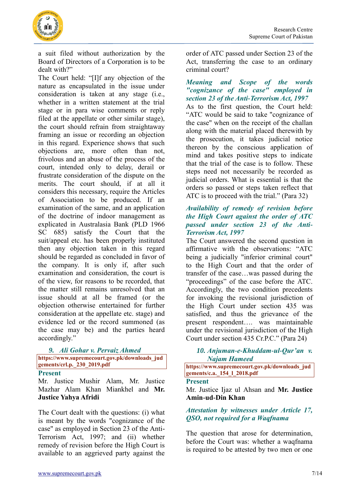

a suit filed without authorization by the Board of Directors of a Corporation is to be dealt with?"

The Court held: "[I]f any objection of the nature as encapsulated in the issue under consideration is taken at any stage (i.e., whether in a written statement at the trial stage or in para wise comments or reply filed at the appellate or other similar stage), the court should refrain from straightaway framing an issue or recording an objection in this regard. Experience shows that such objections are, more often than not, frivolous and an abuse of the process of the court, intended only to delay, derail or frustrate consideration of the dispute on the merits. The court should, if at all it considers this necessary, require the Articles of Association to be produced. If an examination of the same, and an application of the doctrine of indoor management as explicated in Australasia Bank (PLD 1966 SC 685) satisfy the Court that the suit/appeal etc. has been properly instituted then any objection taken in this regard should be regarded as concluded in favor of the company. It is only if, after such examination and consideration, the court is of the view, for reasons to be recorded, that the matter still remains unresolved that an issue should at all be framed (or the objection otherwise entertained for further consideration at the appellate etc. stage) and evidence led or the record summoned (as the case may be) and the parties heard accordingly."

#### <span id="page-6-0"></span>*9. Ali Gohar v. Pervaiz Ahmed*

**[https://www.supremecourt.gov.pk/downloads\\_jud](https://www.supremecourt.gov.pk/downloads_judgements/crl.p._230_2019.pdf) [gements/crl.p.\\_230\\_2019.pdf](https://www.supremecourt.gov.pk/downloads_judgements/crl.p._230_2019.pdf)**

#### **Present**

Mr. Justice Mushir Alam, Mr. Justice Mazhar Alam Khan Miankhel and **Mr. Justice Yahya Afridi**

The Court dealt with the questions: (i) what is meant by the words "cognizance of the case" as employed in Section 23 of the Anti-Terrorism Act, 1997; and (ii) whether remedy of revision before the High Court is available to an aggrieved party against the

order of ATC passed under Section 23 of the Act, transferring the case to an ordinary criminal court?

## <span id="page-6-1"></span>*Meaning and Scope of the words "cognizance of the case" employed in section 23 of the Anti-Terrorism Act, 1997*

As to the first question, the Court held: "ATC would be said to take "cognizance of the case" when on the receipt of the challan along with the material placed therewith by the prosecution, it takes judicial notice thereon by the conscious application of mind and takes positive steps to indicate that the trial of the case is to follow. These steps need not necessarily be recorded as judicial orders. What is essential is that the orders so passed or steps taken reflect that ATC is to proceed with the trial." (Para 32)

## <span id="page-6-2"></span>*Availability of remedy of revision before the High Court against the order of ATC passed under section 23 of the Anti-Terrorism Act, 1997*

The Court answered the second question in affirmative with the observations: "ATC being a judicially "inferior criminal court" to the High Court and that the order of transfer of the case…was passed during the "proceedings" of the case before the ATC. Accordingly, the two condition precedents for invoking the revisional jurisdiction of the High Court under section 435 was satisfied, and thus the grievance of the present respondent…. was maintainable under the revisional jurisdiction of the High Court under section 435 Cr.P.C." (Para 24)

<span id="page-6-3"></span>*10. Anjuman-e-Khuddam-ul-Qur'an v. Najam Hameed* 

**[https://www.supremecourt.gov.pk/downloads\\_jud](https://www.supremecourt.gov.pk/downloads_judgements/c.a._154_l_2018.pdf) [gements/c.a.\\_154\\_l\\_2018.pdf](https://www.supremecourt.gov.pk/downloads_judgements/c.a._154_l_2018.pdf)**

#### **Present**

Mr. Justice Ijaz ul Ahsan and **Mr. Justice Amin-ud-Din Khan**

#### <span id="page-6-4"></span>*Attestation by witnesses under Article 17, QSO, not required for a Waqfnama*

The question that arose for determination, before the Court was: whether a waqfnama is required to be attested by two men or one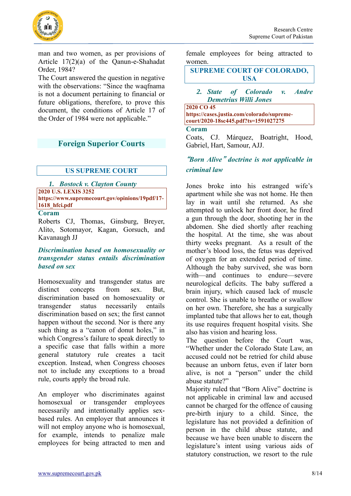



man and two women, as per provisions of Article 17(2)(a) of the Qanun-e-Shahadat Order, 1984?

The Court answered the question in negative with the observations: "Since the waqfnama is not a document pertaining to financial or future obligations, therefore, to prove this document, the conditions of Article 17 of the Order of 1984 were not applicable."

# <span id="page-7-0"></span>**Foreign Superior Courts**

# <span id="page-7-1"></span>**US SUPREME COURT**

*1. [Bostock v. Clayton County](https://advance.lexis.com/api/document?id=urn:contentItem:604P-P051-JS0R-21DV-00000-00&idtype=PID&context=1000516)* **2020 U.S. LEXIS 3252 [https://www.supremecourt.gov/opinions/19pdf/17-](https://www.supremecourt.gov/opinions/19pdf/17-1618_hfci.pdf) [1618\\_hfci.pdf](https://www.supremecourt.gov/opinions/19pdf/17-1618_hfci.pdf)**

#### **Coram**

Roberts CJ, Thomas, Ginsburg, Breyer, Alito, Sotomayor, Kagan, Gorsuch, and Kavanaugh JJ

#### <span id="page-7-2"></span>*Discrimination based on homosexuality or transgender status entails discrimination based on sex*

Homosexuality and transgender status are distinct concepts from sex. But, discrimination based on homosexuality or transgender status necessarily entails discrimination based on sex; the first cannot happen without the second. Nor is there any such thing as a "canon of donut holes," in which Congress's failure to speak directly to a specific case that falls within a more general statutory rule creates a tacit exception. Instead, when Congress chooses not to include any exceptions to a broad rule, courts apply the broad rule.

An employer who discriminates against homosexual or transgender employees necessarily and intentionally applies sexbased rules. An employer that announces it will not employ anyone who is homosexual, for example, intends to penalize male employees for being attracted to men and female employees for being attracted to women.

#### **SUPREME COURT OF COLORADO, USA**

#### <span id="page-7-3"></span>*2. State of Colorado v. Andre Demetrius Willi Jones*

**2020 CO 45 [https://cases.justia.com/colorado/supreme](https://cases.justia.com/colorado/supreme-court/2020-18sc445.pdf?ts=1591027275)[court/2020-18sc445.pdf?ts=1591027275](https://cases.justia.com/colorado/supreme-court/2020-18sc445.pdf?ts=1591027275)**

#### **Coram**

[Coats,](https://en.wikipedia.org/wiki/Nathan_B._Coats) CJ. [Márquez,](https://en.wikipedia.org/wiki/Monica_M%C3%A1rquez) [Boatright,](https://en.wikipedia.org/wiki/Brian_Boatright) [Hood,](https://en.wikipedia.org/wiki/William_W._Hood) [Gabriel,](https://en.wikipedia.org/wiki/Richard_L._Gabriel) [Hart,](https://en.wikipedia.org/wiki/Melissa_Hart_(judge)) [Samour,](https://en.wikipedia.org/wiki/Carlos_Samour) AJJ.

# <span id="page-7-4"></span>**"***Born Alive***"** *doctrine is not applicable in criminal law*

Jones broke into his estranged wife's apartment while she was not home. He then lay in wait until she returned. As she attempted to unlock her front door, he fired a gun through the door, shooting her in the abdomen. She died shortly after reaching the hospital. At the time, she was about thirty weeks pregnant. As a result of the mother's blood loss, the fetus was deprived of oxygen for an extended period of time. Although the baby survived, she was born with—and continues to endure—severe neurological deficits. The baby suffered a brain injury, which caused lack of muscle control. She is unable to breathe or swallow on her own. Therefore, she has a surgically implanted tube that allows her to eat, though its use requires frequent hospital visits. She also has vision and hearing loss.

The question before the Court was, "Whether under the Colorado State Law, an accused could not be retried for child abuse because an unborn fetus, even if later born alive, is not a "person" under the child abuse statute?"

Majority ruled that "Born Alive" doctrine is not applicable in criminal law and accused cannot be charged for the offence of causing pre-birth injury to a child. Since, the legislature has not provided a definition of person in the child abuse statute, and because we have been unable to discern the legislature's intent using various aids of statutory construction, we resort to the rule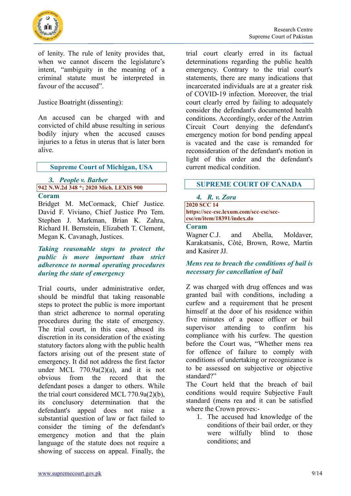

Research Centre Supreme Court of Pakistan

of lenity. The rule of lenity provides that, when we cannot discern the legislature's intent, "ambiguity in the meaning of a criminal statute must be interpreted in favour of the accused".

Justice Boatright (dissenting):

An accused can be charged with and convicted of child abuse resulting in serious bodily injury when the accused causes injuries to a fetus in uterus that is later born alive.

**Supreme Court of Michigan, USA**

# <span id="page-8-0"></span>*3. People v. Barber* **942 N.W.2d 348 \*; 2020 Mich. LEXIS 900**

## **Coram**

Bridget M. McCormack, Chief Justice. David F. Viviano, Chief Justice Pro Tem. Stephen J. Markman, Brian K. Zahra, Richard H. Bernstein, Elizabeth T. Clement, Megan K. Cavanagh, Justices.

## <span id="page-8-1"></span>*Taking reasonable steps to protect the public is more important than strict adherence to normal operating procedures during the state of emergency*

Trial courts, under administrative order, should be mindful that taking reasonable steps to protect the public is more important than strict adherence to normal operating procedures during the state of emergency. The trial court, in this case, abused its discretion in its consideration of the existing statutory factors along with the public health factors arising out of the present state of emergency. It did not address the first factor under MCL  $770.9a(2)(a)$ , and it is not obvious from the record that the defendant poses a danger to others. While the trial court considered [MCL 770.9a\(2\)\(b\),](https://advance.lexis.com/api/document?collection=statutes-legislation&id=urn:contentItem:56VF-9D41-6RDJ-84PC-00000-00&context=) its conclusory determination that the defendant's appeal does not raise a substantial question of law or fact failed to consider the timing of the defendant's emergency motion and that the plain language of the statute does not require a showing of success on appeal. Finally, the

trial court clearly erred in its factual determinations regarding the public health emergency. Contrary to the trial court's statements, there are many indications that incarcerated individuals are at a greater risk of COVID-19 infection. Moreover, the trial court clearly erred by failing to adequately consider the defendant's documented health conditions. Accordingly, order of the Antrim Circuit Court denying the defendant's emergency motion for bond pending appeal is vacated and the case is remanded for reconsideration of the defendant's motion in light of this order and the defendant's current medical condition.

# **SUPREME COURT OF CANADA**

#### <span id="page-8-2"></span>*4. R. v. Zora*

**2020 SCC 14 [https://scc-csc.lexum.com/scc-csc/scc](https://scc-csc.lexum.com/scc-csc/scc-csc/en/item/18391/index.do)[csc/en/item/18391/index.do](https://scc-csc.lexum.com/scc-csc/scc-csc/en/item/18391/index.do)**

#### **Coram**

Wagner C.J. and Abella, Moldaver, Karakatsanis, Côté, Brown, Rowe, Martin and Kasirer JJ.

# <span id="page-8-3"></span>*Mens rea to breach the conditions of bail is necessary for cancellation of bail*

Z was charged with drug offences and was granted bail with conditions, including a curfew and a requirement that he present himself at the door of his residence within five minutes of a peace officer or bail supervisor attending to confirm his compliance with his curfew. The question before the Court was, "Whether mens rea for offence of failure to comply with conditions of undertaking or recognizance is to be assessed on subjective or objective standard?"

The Court held that the breach of bail conditions would require Subjective Fault standard (mens rea and it can be satisfied where the Crown proves:-

1. The accused had knowledge of the conditions of their bail order, or they were wilfully blind to those conditions; and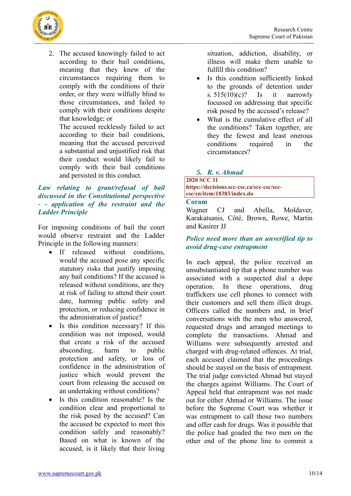

2. The accused knowingly failed to act according to their bail conditions, meaning that they knew of the circumstances requiring them to comply with the conditions of their order, or they were wilfully blind to those circumstances, and failed to comply with their conditions despite that knowledge; or

The accused recklessly failed to act according to their bail conditions, meaning that the accused perceived a substantial and unjustified risk that their conduct would likely fail to comply with their bail conditions and persisted in this conduct.

# <span id="page-9-0"></span>*Law relating to grant/refusal of bail discussed in the Constitutional perspective - - application of the restraint and the Ladder Principle*

For imposing conditions of bail the court would observe restraint and the Ladder Principle in the following manners:

- If released without conditions, would the accused pose any specific statutory risks that justify imposing any bail conditions? If the accused is released without conditions, are they at risk of failing to attend their court date, harming public safety and protection, or reducing confidence in the administration of justice?
- Is this condition necessary? If this condition was not imposed, would that create a risk of the accused absconding, harm to public protection and safety, or loss of confidence in the administration of justice which would prevent the court from releasing the accused on an undertaking without conditions?
- Is this condition reasonable? Is the condition clear and proportional to the risk posed by the accused? Can the accused be expected to meet this condition safely and reasonably? Based on what is known of the accused, is it likely that their living

situation, addiction, disability, or illness will make them unable to fulfill this condition?

- Is this condition sufficiently linked to the grounds of detention under s.  $515(10)(c)$ ? Is it narrowly focussed on addressing that specific risk posed by the accused's release?
- What is the cumulative effect of all the conditions? Taken together, are they the fewest and least onerous conditions required in the circumstances?

# <span id="page-9-1"></span>*5. R. v. Ahmad*

#### **2020 SCC 11 [https://decisions.scc-csc.ca/scc-csc/scc](https://decisions.scc-csc.ca/scc-csc/scc-csc/en/item/18383/index.do)[csc/en/item/18383/index.do](https://decisions.scc-csc.ca/scc-csc/scc-csc/en/item/18383/index.do)**

## **Coram**

Wagner CJ and Abella, Moldaver, Karakatsanis, Côté, Brown, Rowe, Martin and Kasirer JJ

# <span id="page-9-2"></span>*Police need more than an unverified tip to avoid drug-case entrapment*

In each appeal, the police received an unsubstantiated tip that a phone number was associated with a suspected dial a dope operation. In these operations, drug traffickers use cell phones to connect with their customers and sell them illicit drugs. Officers called the numbers and, in brief conversations with the men who answered, requested drugs and arranged meetings to complete the transactions. Ahmad and Williams were subsequently arrested and charged with drug-related offences. At trial, each accused claimed that the proceedings should be stayed on the basis of entrapment. The trial judge convicted Ahmad but stayed the charges against Williams. The Court of Appeal held that entrapment was not made out for either Ahmad or Williams. The issue before the Supreme Court was whether it was entrapment to call those two numbers and offer cash for drugs. Was it possible that the police had goaded the two men on the other end of the phone line to commit a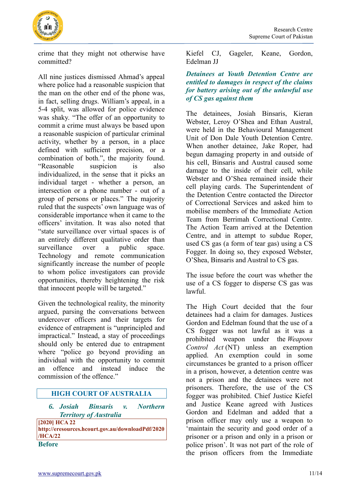

crime that they might not otherwise have committed?

All nine justices dismissed Ahmad's appeal where police had a reasonable suspicion that the man on the other end of the phone was, in fact, selling drugs. William's appeal, in a 5-4 split, was allowed for police evidence was shaky. "The offer of an opportunity to commit a crime must always be based upon a reasonable suspicion of particular criminal activity, whether by a person, in a place defined with sufficient precision, or a combination of both.", the majority found. "Reasonable suspicion is also individualized, in the sense that it picks an individual target - whether a person, an intersection or a phone number - out of a group of persons or places." The majority ruled that the suspects' own language was of considerable importance when it came to the officers' invitation. It was also noted that "state surveillance over virtual spaces is of an entirely different qualitative order than surveillance over a public space. Technology and remote communication significantly increase the number of people to whom police investigators can provide opportunities, thereby heightening the risk that innocent people will be targeted."

Given the technological reality, the minority argued, parsing the conversations between undercover officers and their targets for evidence of entrapment is "unprincipled and impractical." Instead, a stay of proceedings should only be entered due to entrapment where "police go beyond providing an individual with the opportunity to commit an offence and instead induce the commission of the offence."

#### **HIGH COURT OF AUSTRALIA**

<span id="page-10-0"></span>*6. Josiah Binsaris v. Northern Territory of Australia*

**[2020] HCA 22 [http://eresources.hcourt.gov.au/downloadPdf/2020](http://eresources.hcourt.gov.au/downloadPdf/2020/HCA/22) [/HCA/22](http://eresources.hcourt.gov.au/downloadPdf/2020/HCA/22) Before**

Kiefel CJ, Gageler, Keane, Gordon, Edelman JJ

## <span id="page-10-1"></span>*Detainees at Youth Detention Centre are entitled to damages in respect of the claims for battery arising out of the unlawful use of CS gas against them*

The detainees, Josiah Binsaris, Kieran Webster, Leroy O'Shea and Ethan Austral, were held in the Behavioural Management Unit of Don Dale Youth Detention Centre. When another detainee, Jake Roper, had begun damaging property in and outside of his cell, Binsaris and Austral caused some damage to the inside of their cell, while Webster and O'Shea remained inside their cell playing cards. The Superintendent of the Detention Centre contacted the Director of Correctional Services and asked him to mobilise members of the Immediate Action Team from Berrimah Correctional Centre. The Action Team arrived at the Detention Centre, and in attempt to subdue Roper, used CS gas (a form of tear gas) using a CS Fogger. In doing so, they exposed Webster, O'Shea, Binsaris and Austral to CS gas.

The issue before the court was whether the use of a CS fogger to disperse CS gas was lawful.

The High Court decided that the four detainees had a claim for damages. Justices Gordon and Edelman found that the use of a CS fogger was not lawful as it was a prohibited weapon under the *Weapons Control Act* (NT) unless an exemption applied. An exemption could in some circumstances be granted to a prison officer in a prison, however, a detention centre was not a prison and the detainees were not prisoners. Therefore, the use of the CS fogger was prohibited. Chief Justice Kiefel and Justice Keane agreed with Justices Gordon and Edelman and added that a prison officer may only use a weapon to 'maintain the security and good order of a prisoner or a prison and only in a prison or police prison'. It was not part of the role of the prison officers from the Immediate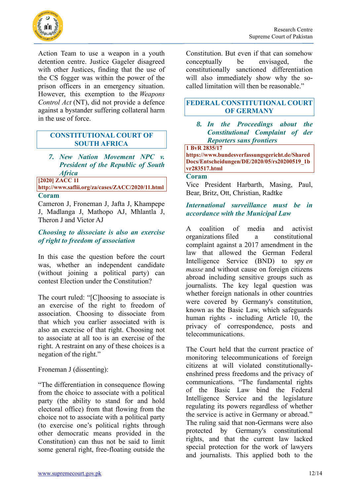

Action Team to use a weapon in a youth detention centre. Justice Gageler disagreed with other Justices, finding that the use of the CS fogger was within the power of the prison officers in an emergency situation. However, this exemption to the *Weapons Control Act* (NT), did not provide a defence against a bystander suffering collateral harm in the use of force.

#### **CONSTITUTIONAL COURT OF SOUTH AFRICA**

<span id="page-11-0"></span>*7. New Nation Movement NPC v. President of the Republic of South Africa* 

**[2020] ZACC 11** 

**<http://www.saflii.org/za/cases/ZACC/2020/11.html> Coram**

Cameron J, Froneman J, Jafta J, Khampepe J, Madlanga J, Mathopo AJ, Mhlantla J, Theron J and Victor AJ

## <span id="page-11-1"></span>*Choosing to dissociate is also an exercise of right to freedom of association*

In this case the question before the court was, whether an independent candidate (without joining a political party) can contest Election under the Constitution?

The court ruled: "[C]hoosing to associate is an exercise of the right to freedom of association. Choosing to dissociate from that which you earlier associated with is also an exercise of that right. Choosing not to associate at all too is an exercise of the right. A restraint on any of these choices is a negation of the right."

Froneman J (dissenting):

"The differentiation in consequence flowing from the choice to associate with a political party (the ability to stand for and hold electoral office) from that flowing from the choice not to associate with a political party (to exercise one's political rights through other democratic means provided in the Constitution) can thus not be said to limit some general right, free-floating outside the

Constitution. But even if that can somehow conceptually be envisaged, the constitutionally sanctioned differentiation will also immediately show why the socalled limitation will then be reasonable."

# **FEDERAL CONSTITUTIONAL COURT OF GERMANY**

#### <span id="page-11-2"></span>*8. In the Proceedings about the Constitutional Complaint of der Reporters sans frontiers*

**1 BvR 2835/17 [https://www.bundesverfassungsgericht.de/Shared](https://www.bundesverfassungsgericht.de/SharedDocs/Entscheidungen/DE/2020/05/rs20200519_1bvr283517.html) [Docs/Entscheidungen/DE/2020/05/rs20200519\\_1b](https://www.bundesverfassungsgericht.de/SharedDocs/Entscheidungen/DE/2020/05/rs20200519_1bvr283517.html) [vr283517.html](https://www.bundesverfassungsgericht.de/SharedDocs/Entscheidungen/DE/2020/05/rs20200519_1bvr283517.html)**

#### **Coram**

Vice President Harbarth, Masing, Paul, Bear, Britz, Ott, Christian, Radtke

## <span id="page-11-3"></span>*International surveillance must be in accordance with the Municipal Law*

A coalition of media and activist organizations [filed a constitutional](https://notrustnonews.org/?lang=en)  [complaint against a 2017 amendment in the](https://notrustnonews.org/?lang=en)  [law that allowed the German Federal](https://notrustnonews.org/?lang=en)  [Intelligence Service \(BND\) to spy](https://notrustnonews.org/?lang=en) *en masse* [and without cause on foreign citizens](https://notrustnonews.org/?lang=en)  [abroad including sensitive groups such as](https://notrustnonews.org/?lang=en)  [journalists.](https://notrustnonews.org/?lang=en) The key legal question was whether foreign nationals in other countries were covered by Germany's constitution, known as the Basic Law, which safeguards human rights - including Article 10, the privacy of correspondence, posts and telecommunications.

The Court held that the current practice of monitoring telecommunications of foreign citizens at will violated constitutionallyenshrined press freedoms and the privacy of communications. "The fundamental rights of the Basic Law bind the Federal Intelligence Service and the legislature regulating its powers regardless of whether the service is active in Germany or abroad." The ruling said that non-Germans were also protected by Germany's constitutional rights, and that the current law lacked special protection for the work of lawyers and journalists. This applied both to the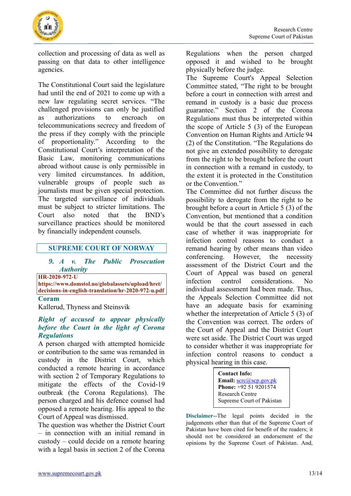

collection and processing of data as well as passing on that data to other intelligence agencies.

The Constitutional Court said the legislature had until the end of 2021 to come up with a new law regulating secret services. "The challenged provisions can only be justified as authorizations to encroach on telecommunications secrecy and freedom of the press if they comply with the principle of proportionality." According to the Constitutional Court's interpretation of the Basic Law, monitoring communications abroad without cause is only permissible in very limited circumstances. In addition, vulnerable groups of people such as journalists must be given special protection. The targeted surveillance of individuals must be subject to stricter limitations. The Court also noted that the BND's surveillance practices should be monitored by financially independent counsels.

#### **SUPREME COURT OF NORWAY**

## <span id="page-12-0"></span>*9. A v. The Public Prosecution Authority*

**HR-2020-972-U**

**[https://www.domstol.no/globalassets/upload/hret/](https://www.domstol.no/globalassets/upload/hret/decisions-in-english-translation/hr-2020-972-u.pdf) [decisions-in-english-translation/hr-2020-972-u.pdf](https://www.domstol.no/globalassets/upload/hret/decisions-in-english-translation/hr-2020-972-u.pdf)**

**Coram**

Kallerud, Thyness and Steinsvik

#### <span id="page-12-1"></span>*Right of accused to appear physically before the Court in the light of Corona Regulations*

A person charged with attempted homicide or contribution to the same was remanded in custody in the District Court, which conducted a remote hearing in accordance with section 2 of Temporary Regulations to mitigate the effects of the Covid-19 outbreak (the Corona Regulations). The person charged and his defence counsel had opposed a remote hearing. His appeal to the Court of Appeal was dismissed.

The question was whether the District Court – in connection with an initial remand in custody – could decide on a remote hearing with a legal basis in section 2 of the Corona Regulations when the person charged opposed it and wished to be brought physically before the judge.

The Supreme Court's Appeal Selection Committee stated, "The right to be brought before a court in connection with arrest and remand in custody is a basic due process guarantee." Section 2 of the Corona Regulations must thus be interpreted within the scope of Article 5 (3) of the European Convention on Human Rights and Article 94 (2) of the Constitution. "The Regulations do not give an extended possibility to derogate from the right to be brought before the court in connection with a remand in custody, to the extent it is protected in the Constitution or the Convention."

The Committee did not further discuss the possibility to derogate from the right to be brought before a court in Article 5 (3) of the Convention, but mentioned that a condition would be that the court assessed in each case of whether it was inappropriate for infection control reasons to conduct a remand hearing by other means than video conferencing. However, the necessity assessment of the District Court and the Court of Appeal was based on general infection control considerations. No individual assessment had been made. Thus, the Appeals Selection Committee did not have an adequate basis for examining whether the interpretation of Article 5 (3) of the Convention was correct. The orders of the Court of Appeal and the District Court were set aside. The District Court was urged to consider whether it was inappropriate for infection control reasons to conduct a physical hearing in this case.

> **Contact Info: Email:** [scrc@scp.gov.pk](mailto:scrc@scp.gov.pk) **Phone:** +92 51 9201574 Research Centre Supreme Court of Pakistan

**Disclaimer**--The legal points decided in the judgements other than that of the Supreme Court of Pakistan have been cited for benefit of the readers; it should not be considered an endorsement of the opinions by the Supreme Court of Pakistan. And,